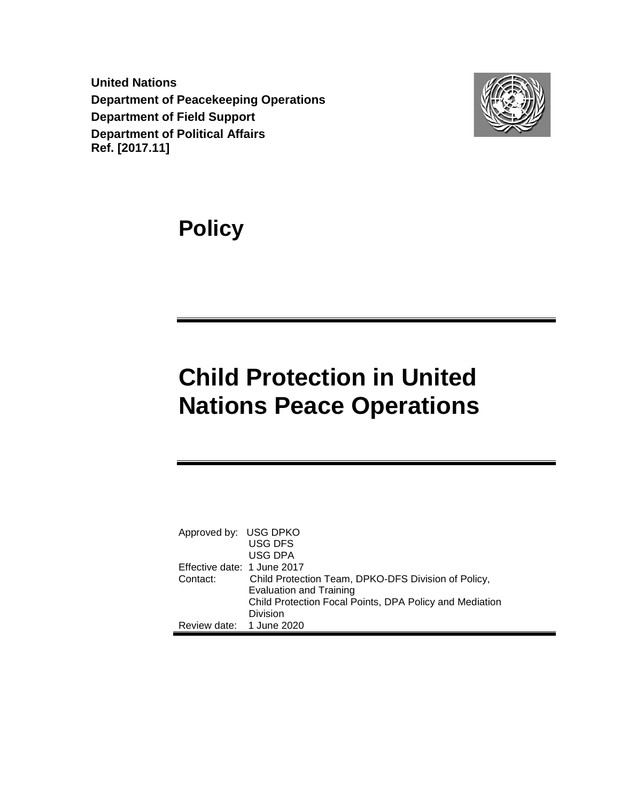**United Nations Department of Peacekeeping Operations Department of Field Support Department of Political Affairs Ref. [2017.11]**



**Policy**

# **Child Protection in United Nations Peace Operations**

<span id="page-0-0"></span>

| Approved by: USG DPKO       |                                                         |
|-----------------------------|---------------------------------------------------------|
|                             | <b>USG DFS</b>                                          |
|                             | USG DPA                                                 |
| Effective date: 1 June 2017 |                                                         |
| Contact:                    | Child Protection Team, DPKO-DFS Division of Policy,     |
|                             | <b>Evaluation and Training</b>                          |
|                             | Child Protection Focal Points, DPA Policy and Mediation |
|                             | Division                                                |
| Review date: 1 June 2020    |                                                         |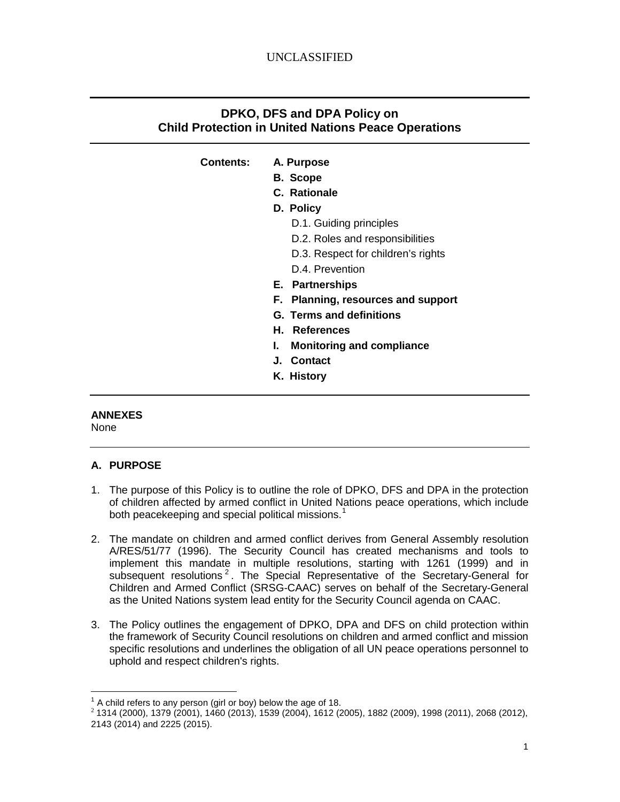## **DPKO, DFS and DPA Policy on Child Protection in United Nations Peace Operations**

## **Contents: A. Purpose**

- **B. Scope**
- **C. Rationale**
- **D. Policy**
	- D.1. Guiding principles
	- D.2. Roles and responsibilities
	- D.3. Respect for children's rights D.4. Prevention
- **E. Partnerships**
- **F. Planning, resources and support**
- **G. Terms and definitions**
- **H. References**
- **I. Monitoring and compliance**
- **J. Contact**
- **K. History**

## **ANNEXES**

None

## **A. PURPOSE**

- 1. The purpose of this Policy is to outline the role of DPKO, DFS and DPA in the protection of children affected by armed conflict in United Nations peace operations, which include both peacekeeping and special political missions.<sup>[1](#page-0-0)</sup>
- 2. The mandate on children and armed conflict derives from General Assembly resolution A/RES/51/77 (1996). The Security Council has created mechanisms and tools to implement this mandate in multiple resolutions, starting with 1261 (1999) and in subsequent resolutions<sup>[2](#page-1-0)</sup>. The Special Representative of the Secretary-General for Children and Armed Conflict (SRSG-CAAC) serves on behalf of the Secretary-General as the United Nations system lead entity for the Security Council agenda on CAAC.
- 3. The Policy outlines the engagement of DPKO, DPA and DFS on child protection within the framework of Security Council resolutions on children and armed conflict and mission specific resolutions and underlines the obligation of all UN peace operations personnel to uphold and respect children's rights.

 $1$  A child refers to any person (girl or boy) below the age of 18.

<span id="page-1-1"></span><span id="page-1-0"></span><sup>2</sup> 1314 (2000), 1379 (2001), 1460 (2013), 1539 (2004), 1612 (2005), 1882 (2009), 1998 (2011), 2068 (2012), 2143 (2014) and 2225 (2015).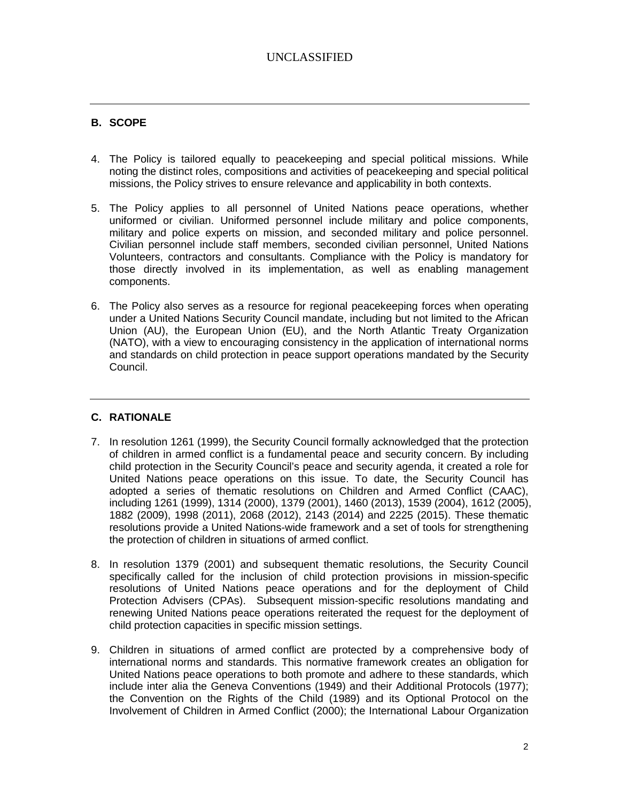## **B. SCOPE**

- 4. The Policy is tailored equally to peacekeeping and special political missions. While noting the distinct roles, compositions and activities of peacekeeping and special political missions, the Policy strives to ensure relevance and applicability in both contexts.
- 5. The Policy applies to all personnel of United Nations peace operations, whether uniformed or civilian. Uniformed personnel include military and police components, military and police experts on mission, and seconded military and police personnel. Civilian personnel include staff members, seconded civilian personnel, United Nations Volunteers, contractors and consultants. Compliance with the Policy is mandatory for those directly involved in its implementation, as well as enabling management components.
- 6. The Policy also serves as a resource for regional peacekeeping forces when operating under a United Nations Security Council mandate, including but not limited to the African Union (AU), the European Union (EU), and the North Atlantic Treaty Organization (NATO), with a view to encouraging consistency in the application of international norms and standards on child protection in peace support operations mandated by the Security Council.

## **C. RATIONALE**

- 7. In resolution 1261 (1999), the Security Council formally acknowledged that the protection of children in armed conflict is a fundamental peace and security concern. By including child protection in the Security Council's peace and security agenda, it created a role for United Nations peace operations on this issue. To date, the Security Council has adopted a series of thematic resolutions on Children and Armed Conflict (CAAC), including 1261 (1999), 1314 (2000), 1379 (2001), 1460 (2013), 1539 (2004), 1612 (2005), 1882 (2009), 1998 (2011), 2068 (2012), 2143 (2014) and 2225 (2015). These thematic resolutions provide a United Nations-wide framework and a set of tools for strengthening the protection of children in situations of armed conflict.
- 8. In resolution 1379 (2001) and subsequent thematic resolutions, the Security Council specifically called for the inclusion of child protection provisions in mission-specific resolutions of United Nations peace operations and for the deployment of Child Protection Advisers (CPAs). Subsequent mission-specific resolutions mandating and renewing United Nations peace operations reiterated the request for the deployment of child protection capacities in specific mission settings.
- 9. Children in situations of armed conflict are protected by a comprehensive body of international norms and standards. This normative framework creates an obligation for United Nations peace operations to both promote and adhere to these standards, which include inter alia the Geneva Conventions (1949) and their Additional Protocols (1977); the Convention on the Rights of the Child (1989) and its Optional Protocol on the Involvement of Children in Armed Conflict (2000); the International Labour Organization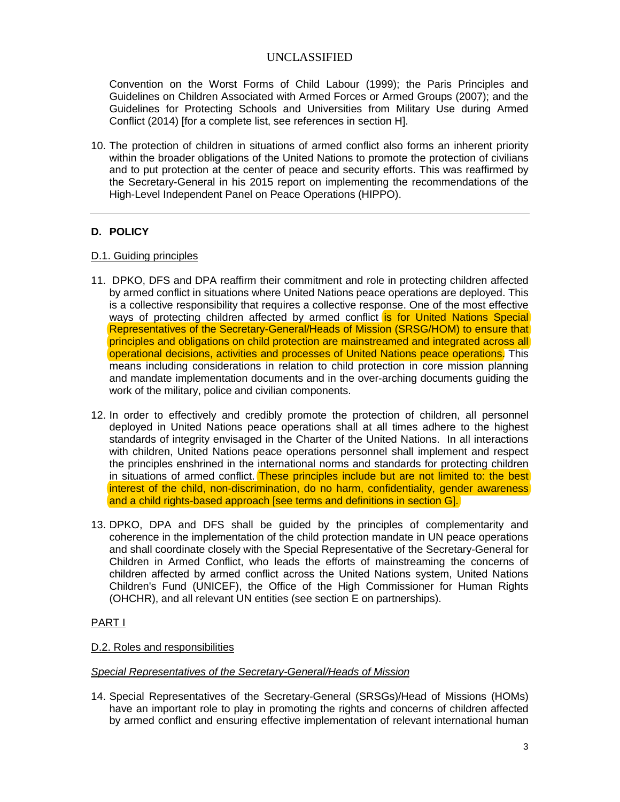Convention on the Worst Forms of Child Labour (1999); the Paris Principles and Guidelines on Children Associated with Armed Forces or Armed Groups (2007); and the Guidelines for Protecting Schools and Universities from Military Use during Armed Conflict (2014) [for a complete list, see references in section H].

10. The protection of children in situations of armed conflict also forms an inherent priority within the broader obligations of the United Nations to promote the protection of civilians and to put protection at the center of peace and security efforts. This was reaffirmed by the Secretary-General in his 2015 report on implementing the recommendations of the High-Level Independent Panel on Peace Operations (HIPPO).

## **D. POLICY**

## D.1. Guiding principles

- 11. DPKO, DFS and DPA reaffirm their commitment and role in protecting children affected by armed conflict in situations where United Nations peace operations are deployed. This is a collective responsibility that requires a collective response. One of the most effective ways of protecting children affected by armed conflict is for United Nations Special Representatives of the Secretary-General/Heads of Mission (SRSG/HOM) to ensure that principles and obligations on child protection are mainstreamed and integrated across all operational decisions, activities and processes of United Nations peace operations. This means including considerations in relation to child protection in core mission planning and mandate implementation documents and in the over-arching documents guiding the work of the military, police and civilian components.
- 12. In order to effectively and credibly promote the protection of children, all personnel deployed in United Nations peace operations shall at all times adhere to the highest standards of integrity envisaged in the Charter of the United Nations. In all interactions with children, United Nations peace operations personnel shall implement and respect the principles enshrined in the international norms and standards for protecting children in situations of armed conflict. These principles include but are not limited to: the best interest of the child, non-discrimination, do no harm, confidentiality, gender awareness and a child rights-based approach [see terms and definitions in section G].
- 13. DPKO, DPA and DFS shall be guided by the principles of complementarity and coherence in the implementation of the child protection mandate in UN peace operations and shall coordinate closely with the Special Representative of the Secretary-General for Children in Armed Conflict, who leads the efforts of mainstreaming the concerns of children affected by armed conflict across the United Nations system, United Nations Children's Fund (UNICEF), the Office of the High Commissioner for Human Rights (OHCHR), and all relevant UN entities (see section E on partnerships).

### PART I

### D.2. Roles and responsibilities

### *Special Representatives of the Secretary-General/Heads of Mission*

14. Special Representatives of the Secretary-General (SRSGs)/Head of Missions (HOMs) have an important role to play in promoting the rights and concerns of children affected by armed conflict and ensuring effective implementation of relevant international human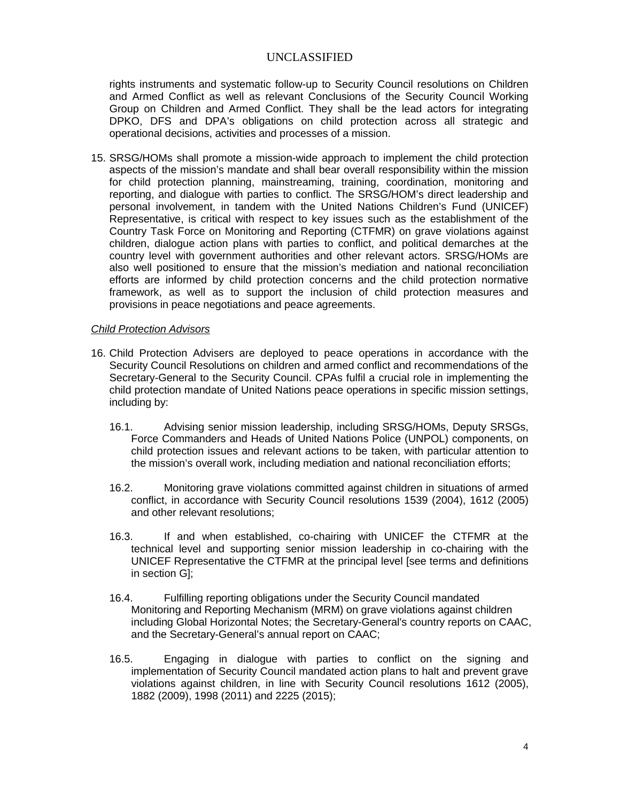rights instruments and systematic follow-up to Security Council resolutions on Children and Armed Conflict as well as relevant Conclusions of the Security Council Working Group on Children and Armed Conflict. They shall be the lead actors for integrating DPKO, DFS and DPA's obligations on child protection across all strategic and operational decisions, activities and processes of a mission.

15. SRSG/HOMs shall promote a mission-wide approach to implement the child protection aspects of the mission's mandate and shall bear overall responsibility within the mission for child protection planning, mainstreaming, training, coordination, monitoring and reporting, and dialogue with parties to conflict. The SRSG/HOM's direct leadership and personal involvement, in tandem with the United Nations Children's Fund (UNICEF) Representative, is critical with respect to key issues such as the establishment of the Country Task Force on Monitoring and Reporting (CTFMR) on grave violations against children, dialogue action plans with parties to conflict, and political demarches at the country level with government authorities and other relevant actors. SRSG/HOMs are also well positioned to ensure that the mission's mediation and national reconciliation efforts are informed by child protection concerns and the child protection normative framework, as well as to support the inclusion of child protection measures and provisions in peace negotiations and peace agreements.

#### *Child Protection Advisors*

- 16. Child Protection Advisers are deployed to peace operations in accordance with the Security Council Resolutions on children and armed conflict and recommendations of the Secretary-General to the Security Council. CPAs fulfil a crucial role in implementing the child protection mandate of United Nations peace operations in specific mission settings, including by:
	- 16.1. Advising senior mission leadership, including SRSG/HOMs, Deputy SRSGs, Force Commanders and Heads of United Nations Police (UNPOL) components, on child protection issues and relevant actions to be taken, with particular attention to the mission's overall work, including mediation and national reconciliation efforts;
	- 16.2. Monitoring grave violations committed against children in situations of armed conflict, in accordance with Security Council resolutions 1539 (2004), 1612 (2005) and other relevant resolutions;
	- 16.3. If and when established, co-chairing with UNICEF the CTFMR at the technical level and supporting senior mission leadership in co-chairing with the UNICEF Representative the CTFMR at the principal level [see terms and definitions in section G];
	- 16.4. Fulfilling reporting obligations under the Security Council mandated Monitoring and Reporting Mechanism (MRM) on grave violations against children including Global Horizontal Notes; the Secretary-General's country reports on CAAC, and the Secretary-General's annual report on CAAC;
	- 16.5. Engaging in dialogue with parties to conflict on the signing and implementation of Security Council mandated action plans to halt and prevent grave violations against children, in line with Security Council resolutions 1612 (2005), 1882 (2009), 1998 (2011) and 2225 (2015);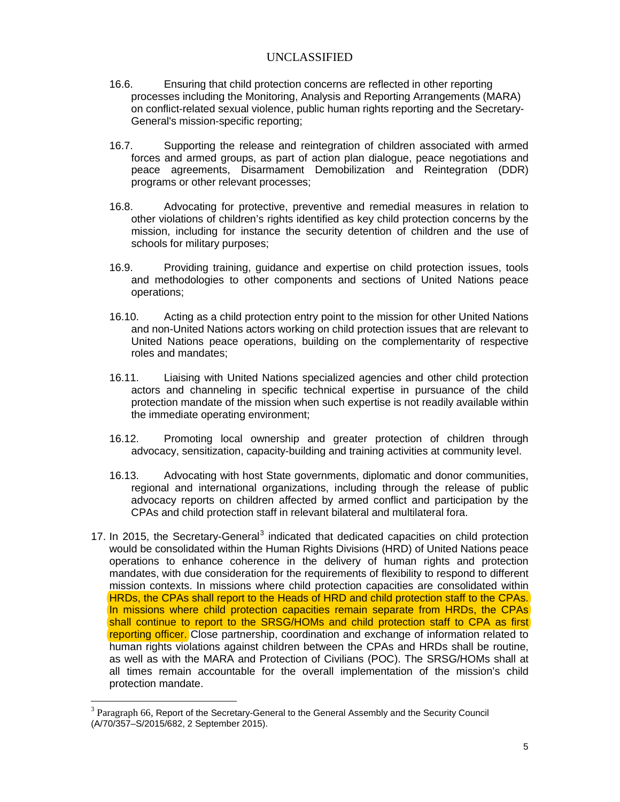- 16.6. Ensuring that child protection concerns are reflected in other reporting processes including the Monitoring, Analysis and Reporting Arrangements (MARA) on conflict-related sexual violence, public human rights reporting and the Secretary-General's mission-specific reporting;
- 16.7. Supporting the release and reintegration of children associated with armed forces and armed groups, as part of action plan dialogue, peace negotiations and peace agreements, Disarmament Demobilization and Reintegration (DDR) programs or other relevant processes;
- 16.8. Advocating for protective, preventive and remedial measures in relation to other violations of children's rights identified as key child protection concerns by the mission, including for instance the security detention of children and the use of schools for military purposes;
- 16.9. Providing training, guidance and expertise on child protection issues, tools and methodologies to other components and sections of United Nations peace operations;
- 16.10. Acting as a child protection entry point to the mission for other United Nations and non-United Nations actors working on child protection issues that are relevant to United Nations peace operations, building on the complementarity of respective roles and mandates;
- 16.11. Liaising with United Nations specialized agencies and other child protection actors and channeling in specific technical expertise in pursuance of the child protection mandate of the mission when such expertise is not readily available within the immediate operating environment;
- 16.12. Promoting local ownership and greater protection of children through advocacy, sensitization, capacity-building and training activities at community level.
- 16.13. Advocating with host State governments, diplomatic and donor communities, regional and international organizations, including through the release of public advocacy reports on children affected by armed conflict and participation by the CPAs and child protection staff in relevant bilateral and multilateral fora.
- 17. In 2015, the Secretary-General<sup>[3](#page-1-1)</sup> indicated that dedicated capacities on child protection would be consolidated within the Human Rights Divisions (HRD) of United Nations peace operations to enhance coherence in the delivery of human rights and protection mandates, with due consideration for the requirements of flexibility to respond to different mission contexts. In missions where child protection capacities are consolidated within HRDs, the CPAs shall report to the Heads of HRD and child protection staff to the CPAs. In missions where child protection capacities remain separate from HRDs, the CPAs shall continue to report to the SRSG/HOMs and child protection staff to CPA as first reporting officer. Close partnership, coordination and exchange of information related to human rights violations against children between the CPAs and HRDs shall be routine, as well as with the MARA and Protection of Civilians (POC). The SRSG/HOMs shall at all times remain accountable for the overall implementation of the mission's child protection mandate.

<span id="page-5-0"></span>Paragraph 66, Report of the Secretary-General to the General Assembly and the Security Council (A/70/357–S/2015/682, 2 September 2015).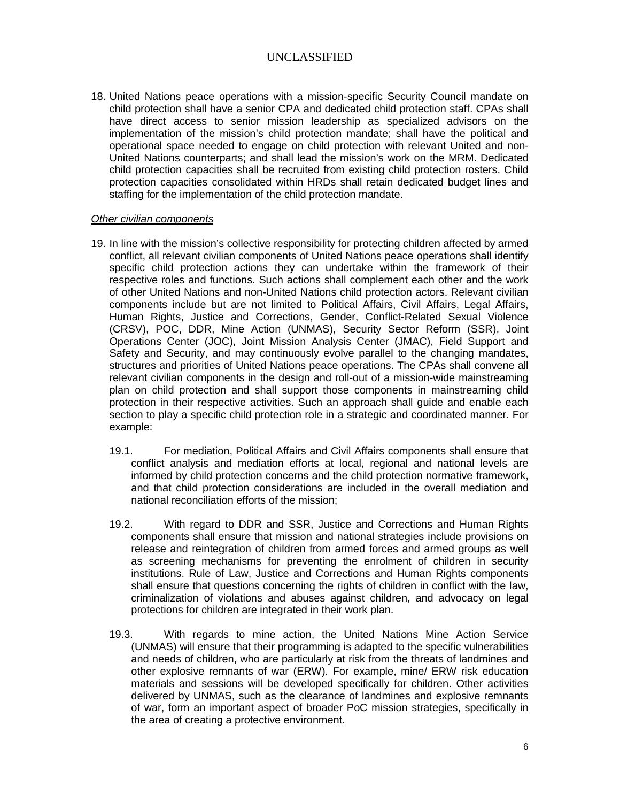18. United Nations peace operations with a mission-specific Security Council mandate on child protection shall have a senior CPA and dedicated child protection staff. CPAs shall have direct access to senior mission leadership as specialized advisors on the implementation of the mission's child protection mandate; shall have the political and operational space needed to engage on child protection with relevant United and non-United Nations counterparts; and shall lead the mission's work on the MRM. Dedicated child protection capacities shall be recruited from existing child protection rosters. Child protection capacities consolidated within HRDs shall retain dedicated budget lines and staffing for the implementation of the child protection mandate.

#### *Other civilian components*

- 19. In line with the mission's collective responsibility for protecting children affected by armed conflict, all relevant civilian components of United Nations peace operations shall identify specific child protection actions they can undertake within the framework of their respective roles and functions. Such actions shall complement each other and the work of other United Nations and non-United Nations child protection actors. Relevant civilian components include but are not limited to Political Affairs, Civil Affairs, Legal Affairs, Human Rights, Justice and Corrections, Gender, Conflict-Related Sexual Violence (CRSV), POC, DDR, Mine Action (UNMAS), Security Sector Reform (SSR), Joint Operations Center (JOC), Joint Mission Analysis Center (JMAC), Field Support and Safety and Security, and may continuously evolve parallel to the changing mandates, structures and priorities of United Nations peace operations. The CPAs shall convene all relevant civilian components in the design and roll-out of a mission-wide mainstreaming plan on child protection and shall support those components in mainstreaming child protection in their respective activities. Such an approach shall guide and enable each section to play a specific child protection role in a strategic and coordinated manner. For example:
	- 19.1. For mediation, Political Affairs and Civil Affairs components shall ensure that conflict analysis and mediation efforts at local, regional and national levels are informed by child protection concerns and the child protection normative framework, and that child protection considerations are included in the overall mediation and national reconciliation efforts of the mission;
	- 19.2. With regard to DDR and SSR, Justice and Corrections and Human Rights components shall ensure that mission and national strategies include provisions on release and reintegration of children from armed forces and armed groups as well as screening mechanisms for preventing the enrolment of children in security institutions. Rule of Law, Justice and Corrections and Human Rights components shall ensure that questions concerning the rights of children in conflict with the law, criminalization of violations and abuses against children, and advocacy on legal protections for children are integrated in their work plan.
	- 19.3. With regards to mine action, the United Nations Mine Action Service (UNMAS) will ensure that their programming is adapted to the specific vulnerabilities and needs of children, who are particularly at risk from the threats of landmines and other explosive remnants of war (ERW). For example, mine/ ERW risk education materials and sessions will be developed specifically for children. Other activities delivered by UNMAS, such as the clearance of landmines and explosive remnants of war, form an important aspect of broader PoC mission strategies, specifically in the area of creating a protective environment.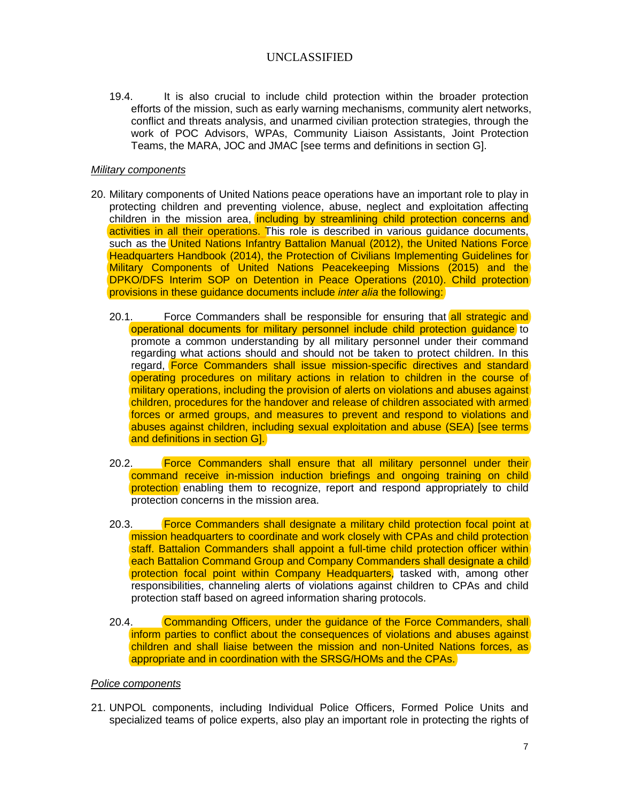19.4. It is also crucial to include child protection within the broader protection efforts of the mission, such as early warning mechanisms, community alert networks, conflict and threats analysis, and unarmed civilian protection strategies, through the work of POC Advisors, WPAs, Community Liaison Assistants, Joint Protection Teams, the MARA, JOC and JMAC [see terms and definitions in section G].

#### *Military components*

- 20. Military components of United Nations peace operations have an important role to play in protecting children and preventing violence, abuse, neglect and exploitation affecting children in the mission area, including by streamlining child protection concerns and activities in all their operations. This role is described in various guidance documents, such as the United Nations Infantry Battalion Manual (2012), the United Nations Force Headquarters Handbook (2014), the Protection of Civilians Implementing Guidelines for Military Components of United Nations Peacekeeping Missions (2015) and the DPKO/DFS Interim SOP on Detention in Peace Operations (2010). Child protection provisions in these guidance documents include *inter alia* the following:
	- 20.1. Force Commanders shall be responsible for ensuring that all strategic and operational documents for military personnel include child protection guidance to promote a common understanding by all military personnel under their command regarding what actions should and should not be taken to protect children. In this regard, Force Commanders shall issue mission-specific directives and standard operating procedures on military actions in relation to children in the course of military operations, including the provision of alerts on violations and abuses against children, procedures for the handover and release of children associated with armed forces or armed groups, and measures to prevent and respond to violations and abuses against children, including sexual exploitation and abuse (SEA) [see terms and definitions in section G].
	- 20.2. Force Commanders shall ensure that all military personnel under their command receive in-mission induction briefings and ongoing training on child protection enabling them to recognize, report and respond appropriately to child protection concerns in the mission area.
	- 20.3. Force Commanders shall designate a military child protection focal point at mission headquarters to coordinate and work closely with CPAs and child protection staff. Battalion Commanders shall appoint a full-time child protection officer within each Battalion Command Group and Company Commanders shall designate a child protection focal point within Company Headquarters, tasked with, among other responsibilities, channeling alerts of violations against children to CPAs and child protection staff based on agreed information sharing protocols.
	- 20.4. Commanding Officers, under the guidance of the Force Commanders, shall inform parties to conflict about the consequences of violations and abuses against children and shall liaise between the mission and non-United Nations forces, as appropriate and in coordination with the SRSG/HOMs and the CPAs.

#### *Police components*

21. UNPOL components, including Individual Police Officers, Formed Police Units and specialized teams of police experts, also play an important role in protecting the rights of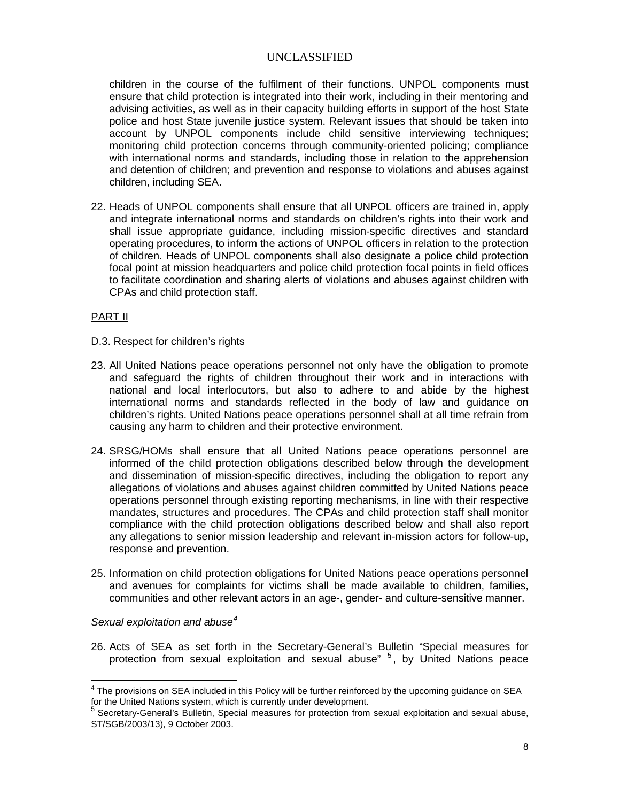children in the course of the fulfilment of their functions. UNPOL components must ensure that child protection is integrated into their work, including in their mentoring and advising activities, as well as in their capacity building efforts in support of the host State police and host State juvenile justice system. Relevant issues that should be taken into account by UNPOL components include child sensitive interviewing techniques; monitoring child protection concerns through community-oriented policing; compliance with international norms and standards, including those in relation to the apprehension and detention of children; and prevention and response to violations and abuses against children, including SEA.

22. Heads of UNPOL components shall ensure that all UNPOL officers are trained in, apply and integrate international norms and standards on children's rights into their work and shall issue appropriate guidance, including mission-specific directives and standard operating procedures, to inform the actions of UNPOL officers in relation to the protection of children. Heads of UNPOL components shall also designate a police child protection focal point at mission headquarters and police child protection focal points in field offices to facilitate coordination and sharing alerts of violations and abuses against children with CPAs and child protection staff.

PART II

#### D.3. Respect for children's rights

- 23. All United Nations peace operations personnel not only have the obligation to promote and safeguard the rights of children throughout their work and in interactions with national and local interlocutors, but also to adhere to and abide by the highest international norms and standards reflected in the body of law and guidance on children's rights. United Nations peace operations personnel shall at all time refrain from causing any harm to children and their protective environment.
- 24. SRSG/HOMs shall ensure that all United Nations peace operations personnel are informed of the child protection obligations described below through the development and dissemination of mission-specific directives, including the obligation to report any allegations of violations and abuses against children committed by United Nations peace operations personnel through existing reporting mechanisms, in line with their respective mandates, structures and procedures. The CPAs and child protection staff shall monitor compliance with the child protection obligations described below and shall also report any allegations to senior mission leadership and relevant in-mission actors for follow-up, response and prevention.
- 25. Information on child protection obligations for United Nations peace operations personnel and avenues for complaints for victims shall be made available to children, families, communities and other relevant actors in an age-, gender- and culture-sensitive manner.

#### *Sexual exploitation and abuse[4](#page-5-0)*

26. Acts of SEA as set forth in the Secretary-General's Bulletin "Special measures for protection from sexual exploitation and sexual abuse" <sup>[5](#page-8-0)</sup>, by United Nations peace

<span id="page-8-1"></span><sup>&</sup>lt;sup>4</sup> The provisions on SEA included in this Policy will be further reinforced by the upcoming guidance on SEA for the United Nations system, which is currently under development.

<span id="page-8-0"></span><sup>5</sup> Secretary-General's Bulletin, Special measures for protection from sexual exploitation and sexual abuse, ST/SGB/2003/13), 9 October 2003.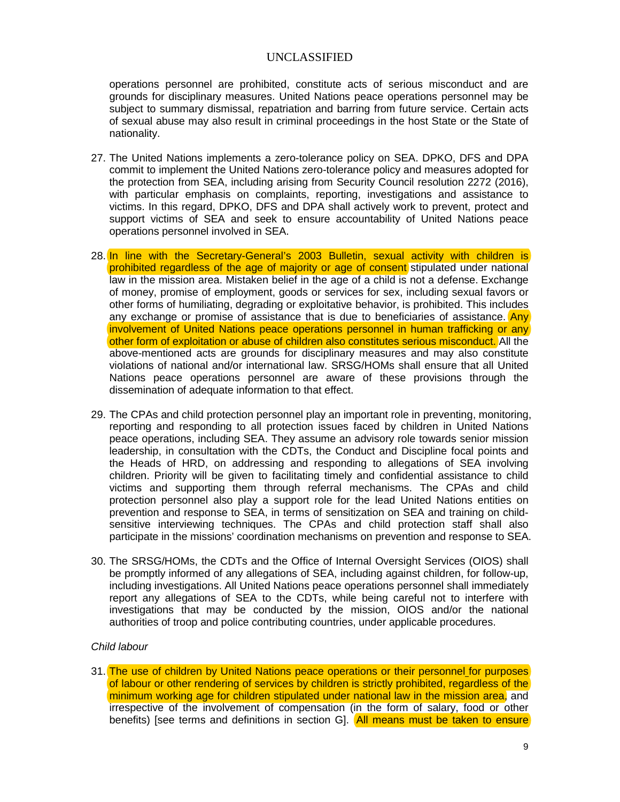operations personnel are prohibited, constitute acts of serious misconduct and are grounds for disciplinary measures. United Nations peace operations personnel may be subject to summary dismissal, repatriation and barring from future service. Certain acts of sexual abuse may also result in criminal proceedings in the host State or the State of nationality.

- 27. The United Nations implements a zero-tolerance policy on SEA. DPKO, DFS and DPA commit to implement the United Nations zero-tolerance policy and measures adopted for the protection from SEA, including arising from Security Council resolution 2272 (2016), with particular emphasis on complaints, reporting, investigations and assistance to victims. In this regard, DPKO, DFS and DPA shall actively work to prevent, protect and support victims of SEA and seek to ensure accountability of United Nations peace operations personnel involved in SEA.
- 28. In line with the Secretary-General's 2003 Bulletin, sexual activity with children is prohibited regardless of the age of majority or age of consent stipulated under national law in the mission area. Mistaken belief in the age of a child is not a defense. Exchange of money, promise of employment, goods or services for sex, including sexual favors or other forms of humiliating, degrading or exploitative behavior, is prohibited. This includes any exchange or promise of assistance that is due to beneficiaries of assistance.  $\overline{Any}$ involvement of United Nations peace operations personnel in human trafficking or any other form of exploitation or abuse of children also constitutes serious misconduct. All the above-mentioned acts are grounds for disciplinary measures and may also constitute violations of national and/or international law. SRSG/HOMs shall ensure that all United Nations peace operations personnel are aware of these provisions through the dissemination of adequate information to that effect.
- 29. The CPAs and child protection personnel play an important role in preventing, monitoring, reporting and responding to all protection issues faced by children in United Nations peace operations, including SEA. They assume an advisory role towards senior mission leadership, in consultation with the CDTs, the Conduct and Discipline focal points and the Heads of HRD, on addressing and responding to allegations of SEA involving children. Priority will be given to facilitating timely and confidential assistance to child victims and supporting them through referral mechanisms. The CPAs and child protection personnel also play a support role for the lead United Nations entities on prevention and response to SEA, in terms of sensitization on SEA and training on childsensitive interviewing techniques. The CPAs and child protection staff shall also participate in the missions' coordination mechanisms on prevention and response to SEA.
- 30. The SRSG/HOMs, the CDTs and the Office of Internal Oversight Services (OIOS) shall be promptly informed of any allegations of SEA, including against children, for follow-up, including investigations. All United Nations peace operations personnel shall immediately report any allegations of SEA to the CDTs, while being careful not to interfere with investigations that may be conducted by the mission, OIOS and/or the national authorities of troop and police contributing countries, under applicable procedures.

### *Child labour*

31. The use of children by United Nations peace operations or their personnel for purposes of labour or other rendering of services by children is strictly prohibited, regardless of the minimum working age for children stipulated under national law in the mission area, and irrespective of the involvement of compensation (in the form of salary, food or other benefits) [see terms and definitions in section G]. All means must be taken to ensure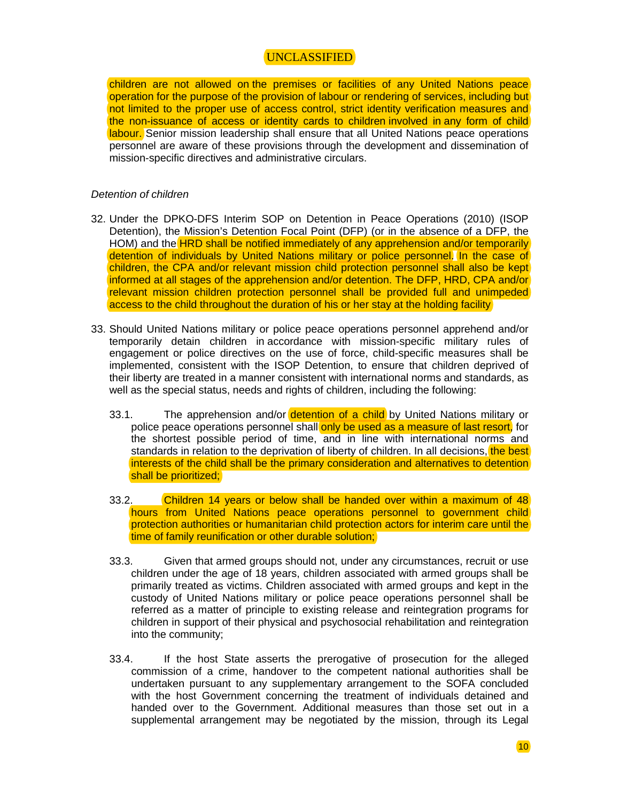children are not allowed on the premises or facilities of any United Nations peace operation for the purpose of the provision of labour or rendering of services, including but not limited to the proper use of access control, strict identity verification measures and the non-issuance of access or identity cards to children involved in any form of child labour. Senior mission leadership shall ensure that all United Nations peace operations personnel are aware of these provisions through the development and dissemination of mission-specific directives and administrative circulars.

#### *Detention of children*

- 32. Under the DPKO-DFS Interim SOP on Detention in Peace Operations (2010) (ISOP Detention), the Mission's Detention Focal Point (DFP) (or in the absence of a DFP, the HOM) and the **HRD shall be notified immediately of any apprehension and/or temporarily** detention of individuals by United Nations military or police personnel. In the case of children, the CPA and/or relevant mission child protection personnel shall also be kept informed at all stages of the apprehension and/or detention. The DFP, HRD, CPA and/or relevant mission children protection personnel shall be provided full and unimpeded access to the child throughout the duration of his or her stay at the holding facility
- 33. Should United Nations military or police peace operations personnel apprehend and/or temporarily detain children in accordance with mission-specific military rules of engagement or police directives on the use of force, child-specific measures shall be implemented, consistent with the ISOP Detention, to ensure that children deprived of their liberty are treated in a manner consistent with international norms and standards, as well as the special status, needs and rights of children, including the following:
	- 33.1. The apprehension and/or detention of a child by United Nations military or police peace operations personnel shall only be used as a measure of last resort, for the shortest possible period of time, and in line with international norms and standards in relation to the deprivation of liberty of children. In all decisions, the best interests of the child shall be the primary consideration and alternatives to detention shall be prioritized;
	- 33.2. Children 14 years or below shall be handed over within a maximum of 48 hours from United Nations peace operations personnel to government child protection authorities or humanitarian child protection actors for interim care until the time of family reunification or other durable solution;
	- 33.3. Given that armed groups should not, under any circumstances, recruit or use children under the age of 18 years, children associated with armed groups shall be primarily treated as victims. Children associated with armed groups and kept in the custody of United Nations military or police peace operations personnel shall be referred as a matter of principle to existing release and reintegration programs for children in support of their physical and psychosocial rehabilitation and reintegration into the community;
	- 33.4. If the host State asserts the prerogative of prosecution for the alleged commission of a crime, handover to the competent national authorities shall be undertaken pursuant to any supplementary arrangement to the SOFA concluded with the host Government concerning the treatment of individuals detained and handed over to the Government. Additional measures than those set out in a supplemental arrangement may be negotiated by the mission, through its Legal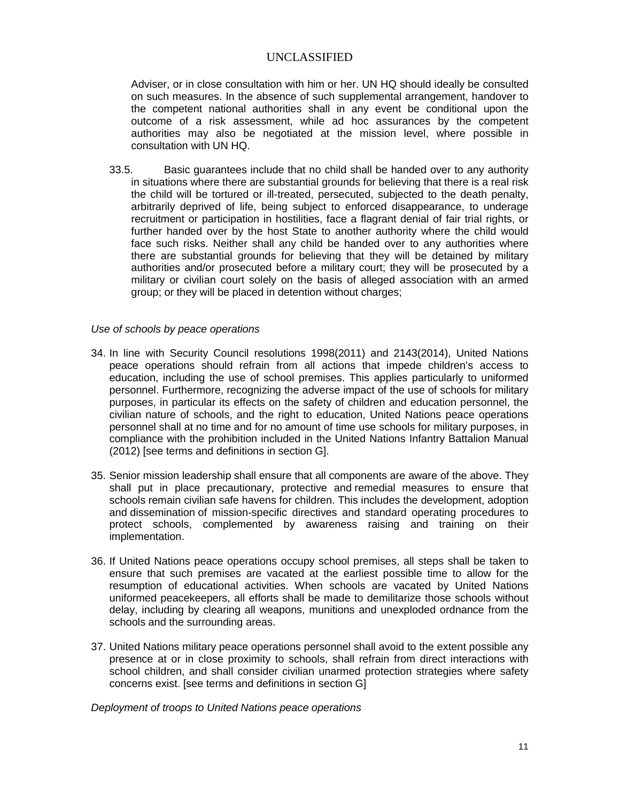Adviser, or in close consultation with him or her. UN HQ should ideally be consulted on such measures. In the absence of such supplemental arrangement, handover to the competent national authorities shall in any event be conditional upon the outcome of a risk assessment, while ad hoc assurances by the competent authorities may also be negotiated at the mission level, where possible in consultation with UN HQ.

33.5. Basic guarantees include that no child shall be handed over to any authority in situations where there are substantial grounds for believing that there is a real risk the child will be tortured or ill-treated, persecuted, subjected to the death penalty, arbitrarily deprived of life, being subject to enforced disappearance, to underage recruitment or participation in hostilities, face a flagrant denial of fair trial rights, or further handed over by the host State to another authority where the child would face such risks. Neither shall any child be handed over to any authorities where there are substantial grounds for believing that they will be detained by military authorities and/or prosecuted before a military court; they will be prosecuted by a military or civilian court solely on the basis of alleged association with an armed group; or they will be placed in detention without charges;

### *Use of schools by peace operations*

- 34. In line with Security Council resolutions 1998(2011) and 2143(2014), United Nations peace operations should refrain from all actions that impede children's access to education, including the use of school premises. This applies particularly to uniformed personnel. Furthermore, recognizing the adverse impact of the use of schools for military purposes, in particular its effects on the safety of children and education personnel, the civilian nature of schools, and the right to education, United Nations peace operations personnel shall at no time and for no amount of time use schools for military purposes, in compliance with the prohibition included in the United Nations Infantry Battalion Manual (2012) [see terms and definitions in section G].
- 35. Senior mission leadership shall ensure that all components are aware of the above. They shall put in place precautionary, protective and remedial measures to ensure that schools remain civilian safe havens for children. This includes the development, adoption and dissemination of mission-specific directives and standard operating procedures to protect schools, complemented by awareness raising and training on their implementation.
- 36. If United Nations peace operations occupy school premises, all steps shall be taken to ensure that such premises are vacated at the earliest possible time to allow for the resumption of educational activities. When schools are vacated by United Nations uniformed peacekeepers, all efforts shall be made to demilitarize those schools without delay, including by clearing all weapons, munitions and unexploded ordnance from the schools and the surrounding areas.
- 37. United Nations military peace operations personnel shall avoid to the extent possible any presence at or in close proximity to schools, shall refrain from direct interactions with school children, and shall consider civilian unarmed protection strategies where safety concerns exist. [see terms and definitions in section G]

*Deployment of troops to United Nations peace operations*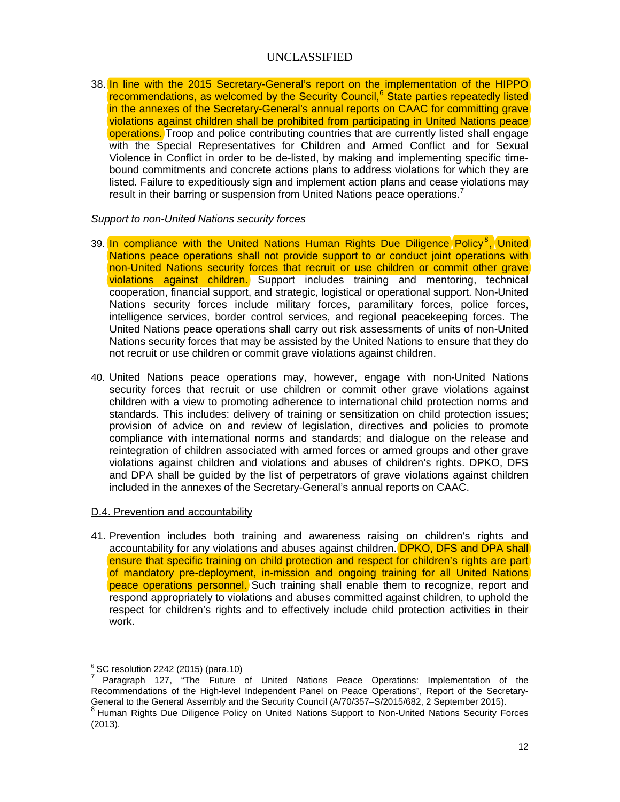38. In line with the 2015 Secretary-General's report on the implementation of the HIPPO recommendations, as welcomed by the Security Council,<sup>[6](#page-8-1)</sup> State parties repeatedly listed in the annexes of the Secretary-General's annual reports on CAAC for committing grave violations against children shall be prohibited from participating in United Nations peace operations. Troop and police contributing countries that are currently listed shall engage with the Special Representatives for Children and Armed Conflict and for Sexual Violence in Conflict in order to be de-listed, by making and implementing specific timebound commitments and concrete actions plans to address violations for which they are listed. Failure to expeditiously sign and implement action plans and cease violations may result in their barring or suspension from United Nations peace operations.<sup>[7](#page-12-0)</sup>

#### *Support to non-United Nations security forces*

- 39. In compliance with the United Nations Human Rights Due Diligence Policy<sup>[8](#page-12-1)</sup>, United Nations peace operations shall not provide support to or conduct joint operations with non-United Nations security forces that recruit or use children or commit other grave violations against children. Support includes training and mentoring, technical cooperation, financial support, and strategic, logistical or operational support. Non-United Nations security forces include military forces, paramilitary forces, police forces, intelligence services, border control services, and regional peacekeeping forces. The United Nations peace operations shall carry out risk assessments of units of non-United Nations security forces that may be assisted by the United Nations to ensure that they do not recruit or use children or commit grave violations against children.
- 40. United Nations peace operations may, however, engage with non-United Nations security forces that recruit or use children or commit other grave violations against children with a view to promoting adherence to international child protection norms and standards. This includes: delivery of training or sensitization on child protection issues; provision of advice on and review of legislation, directives and policies to promote compliance with international norms and standards; and dialogue on the release and reintegration of children associated with armed forces or armed groups and other grave violations against children and violations and abuses of children's rights. DPKO, DFS and DPA shall be guided by the list of perpetrators of grave violations against children included in the annexes of the Secretary-General's annual reports on CAAC.

### D.4. Prevention and accountability

41. Prevention includes both training and awareness raising on children's rights and accountability for any violations and abuses against children. **DPKO, DFS and DPA shall** ensure that specific training on child protection and respect for children's rights are part of mandatory pre-deployment, in-mission and ongoing training for all United Nations peace operations personnel. Such training shall enable them to recognize, report and respond appropriately to violations and abuses committed against children, to uphold the respect for children's rights and to effectively include child protection activities in their work.

<span id="page-12-0"></span><sup>&</sup>lt;sup>6</sup> SC resolution 2242 (2015) (para.10)<br><sup>7</sup> Paragraph 127, "The Future of United Nations Peace Operations: Implementation of the Recommendations of the High-level Independent Panel on Peace Operations", Report of the Secretary-General to the General Assembly and the Security Council (A/70/357–S/2015/682, 2 September 2015).<br>8 Human Rights Due Diligence Policy on United Nations Support to Non-United Nations Security Forces

<span id="page-12-1"></span><sup>(2013).</sup>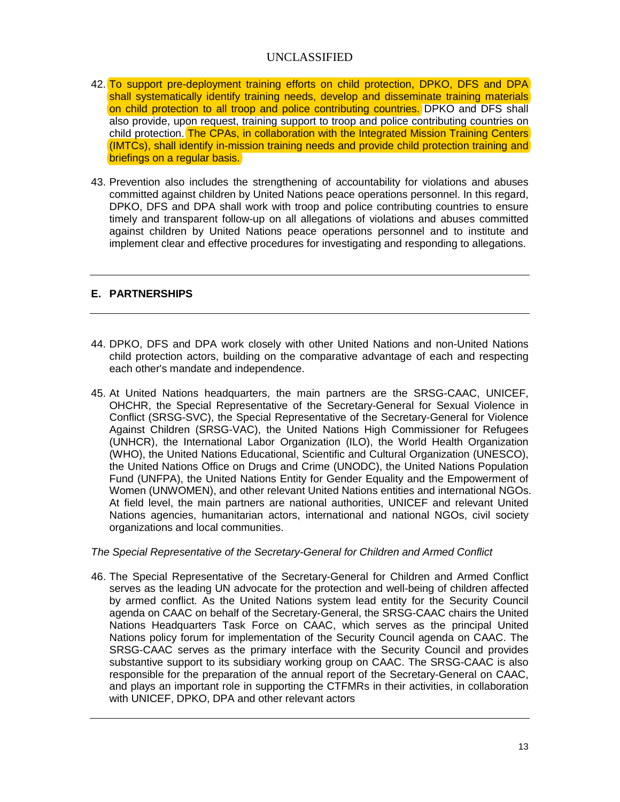- 42. To support pre-deployment training efforts on child protection, DPKO, DFS and DPA shall systematically identify training needs, develop and disseminate training materials on child protection to all troop and police contributing countries. DPKO and DFS shall also provide, upon request, training support to troop and police contributing countries on child protection. The CPAs, in collaboration with the Integrated Mission Training Centers (IMTCs), shall identify in-mission training needs and provide child protection training and briefings on a regular basis.
- 43. Prevention also includes the strengthening of accountability for violations and abuses committed against children by United Nations peace operations personnel. In this regard, DPKO, DFS and DPA shall work with troop and police contributing countries to ensure timely and transparent follow-up on all allegations of violations and abuses committed against children by United Nations peace operations personnel and to institute and implement clear and effective procedures for investigating and responding to allegations.

### **E. PARTNERSHIPS**

- 44. DPKO, DFS and DPA work closely with other United Nations and non-United Nations child protection actors, building on the comparative advantage of each and respecting each other's mandate and independence.
- 45. At United Nations headquarters, the main partners are the SRSG-CAAC, UNICEF, OHCHR, the Special Representative of the Secretary-General for Sexual Violence in Conflict (SRSG-SVC), the Special Representative of the Secretary-General for Violence Against Children (SRSG-VAC), the United Nations High Commissioner for Refugees (UNHCR), the International Labor Organization (ILO), the World Health Organization (WHO), the United Nations Educational, Scientific and Cultural Organization (UNESCO), the United Nations Office on Drugs and Crime (UNODC), the United Nations Population Fund (UNFPA), the United Nations Entity for Gender Equality and the Empowerment of Women (UNWOMEN), and other relevant United Nations entities and international NGOs. At field level, the main partners are national authorities, UNICEF and relevant United Nations agencies, humanitarian actors, international and national NGOs, civil society organizations and local communities.

### *The Special Representative of the Secretary-General for Children and Armed Conflict*

46. The Special Representative of the Secretary-General for Children and Armed Conflict serves as the leading UN advocate for the protection and well-being of children affected by armed conflict. As the United Nations system lead entity for the Security Council agenda on CAAC on behalf of the Secretary-General, the SRSG-CAAC chairs the United Nations Headquarters Task Force on CAAC, which serves as the principal United Nations policy forum for implementation of the Security Council agenda on CAAC. The SRSG-CAAC serves as the primary interface with the Security Council and provides substantive support to its subsidiary working group on CAAC. The SRSG-CAAC is also responsible for the preparation of the annual report of the Secretary-General on CAAC, and plays an important role in supporting the CTFMRs in their activities, in collaboration with UNICEF, DPKO, DPA and other relevant actors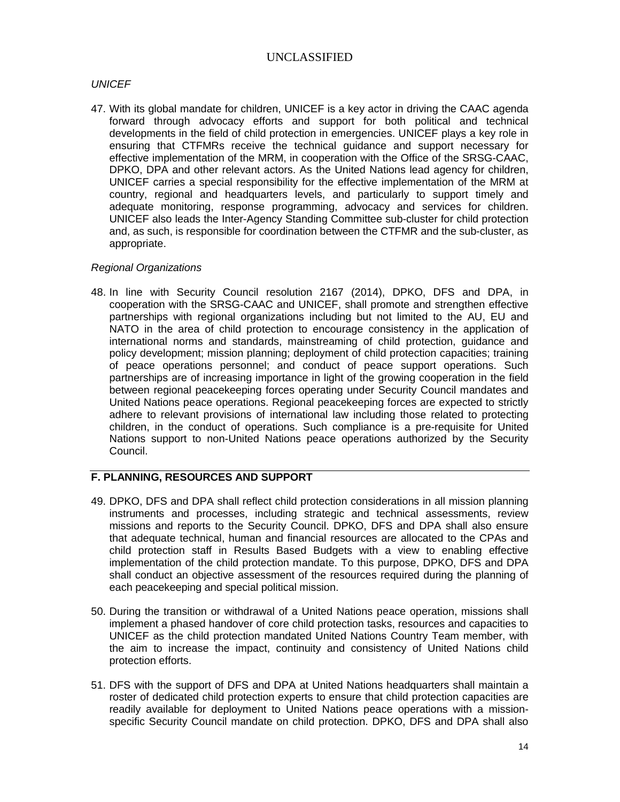### *UNICEF*

47. With its global mandate for children, UNICEF is a key actor in driving the CAAC agenda forward through advocacy efforts and support for both political and technical developments in the field of child protection in emergencies. UNICEF plays a key role in ensuring that CTFMRs receive the technical guidance and support necessary for effective implementation of the MRM, in cooperation with the Office of the SRSG-CAAC, DPKO, DPA and other relevant actors. As the United Nations lead agency for children, UNICEF carries a special responsibility for the effective implementation of the MRM at country, regional and headquarters levels, and particularly to support timely and adequate monitoring, response programming, advocacy and services for children. UNICEF also leads the Inter-Agency Standing Committee sub-cluster for child protection and, as such, is responsible for coordination between the CTFMR and the sub-cluster, as appropriate.

#### *Regional Organizations*

48. In line with Security Council resolution 2167 (2014), DPKO, DFS and DPA, in cooperation with the SRSG-CAAC and UNICEF, shall promote and strengthen effective partnerships with regional organizations including but not limited to the AU, EU and NATO in the area of child protection to encourage consistency in the application of international norms and standards, mainstreaming of child protection, guidance and policy development; mission planning; deployment of child protection capacities; training of peace operations personnel; and conduct of peace support operations. Such partnerships are of increasing importance in light of the growing cooperation in the field between regional peacekeeping forces operating under Security Council mandates and United Nations peace operations. Regional peacekeeping forces are expected to strictly adhere to relevant provisions of international law including those related to protecting children, in the conduct of operations. Such compliance is a pre-requisite for United Nations support to non-United Nations peace operations authorized by the Security Council.

### **F. PLANNING, RESOURCES AND SUPPORT**

- 49. DPKO, DFS and DPA shall reflect child protection considerations in all mission planning instruments and processes, including strategic and technical assessments, review missions and reports to the Security Council. DPKO, DFS and DPA shall also ensure that adequate technical, human and financial resources are allocated to the CPAs and child protection staff in Results Based Budgets with a view to enabling effective implementation of the child protection mandate. To this purpose, DPKO, DFS and DPA shall conduct an objective assessment of the resources required during the planning of each peacekeeping and special political mission.
- 50. During the transition or withdrawal of a United Nations peace operation, missions shall implement a phased handover of core child protection tasks, resources and capacities to UNICEF as the child protection mandated United Nations Country Team member, with the aim to increase the impact, continuity and consistency of United Nations child protection efforts.
- 51. DFS with the support of DFS and DPA at United Nations headquarters shall maintain a roster of dedicated child protection experts to ensure that child protection capacities are readily available for deployment to United Nations peace operations with a missionspecific Security Council mandate on child protection. DPKO, DFS and DPA shall also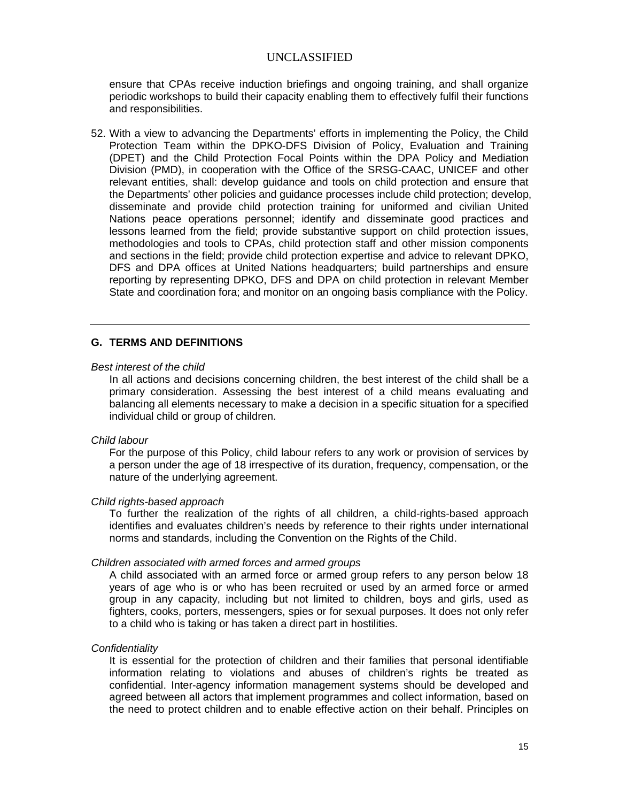ensure that CPAs receive induction briefings and ongoing training, and shall organize periodic workshops to build their capacity enabling them to effectively fulfil their functions and responsibilities.

52. With a view to advancing the Departments' efforts in implementing the Policy, the Child Protection Team within the DPKO-DFS Division of Policy, Evaluation and Training (DPET) and the Child Protection Focal Points within the DPA Policy and Mediation Division (PMD), in cooperation with the Office of the SRSG-CAAC, UNICEF and other relevant entities, shall: develop guidance and tools on child protection and ensure that the Departments' other policies and guidance processes include child protection; develop, disseminate and provide child protection training for uniformed and civilian United Nations peace operations personnel; identify and disseminate good practices and lessons learned from the field; provide substantive support on child protection issues, methodologies and tools to CPAs, child protection staff and other mission components and sections in the field; provide child protection expertise and advice to relevant DPKO, DFS and DPA offices at United Nations headquarters; build partnerships and ensure reporting by representing DPKO, DFS and DPA on child protection in relevant Member State and coordination fora; and monitor on an ongoing basis compliance with the Policy.

#### **G. TERMS AND DEFINITIONS**

#### *Best interest of the child*

In all actions and decisions concerning children, the best interest of the child shall be a primary consideration. Assessing the best interest of a child means evaluating and balancing all elements necessary to make a decision in a specific situation for a specified individual child or group of children.

#### *Child labour*

For the purpose of this Policy, child labour refers to any work or provision of services by a person under the age of 18 irrespective of its duration, frequency, compensation, or the nature of the underlying agreement.

#### *Child rights-based approach*

To further the realization of the rights of all children, a child-rights-based approach identifies and evaluates children's needs by reference to their rights under international norms and standards, including the Convention on the Rights of the Child.

#### *Children associated with armed forces and armed groups*

A child associated with an armed force or armed group refers to any person below 18 years of age who is or who has been recruited or used by an armed force or armed group in any capacity, including but not limited to children, boys and girls, used as fighters, cooks, porters, messengers, spies or for sexual purposes. It does not only refer to a child who is taking or has taken a direct part in hostilities.

#### *Confidentiality*

It is essential for the protection of children and their families that personal identifiable information relating to violations and abuses of children's rights be treated as confidential. Inter-agency information management systems should be developed and agreed between all actors that implement programmes and collect information, based on the need to protect children and to enable effective action on their behalf. Principles on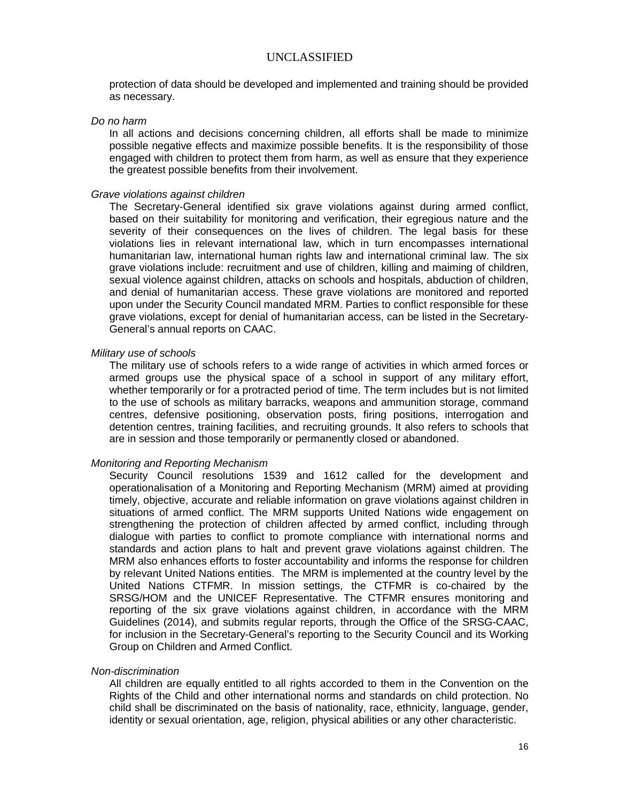protection of data should be developed and implemented and training should be provided as necessary.

#### *Do no harm*

In all actions and decisions concerning children, all efforts shall be made to minimize possible negative effects and maximize possible benefits. It is the responsibility of those engaged with children to protect them from harm, as well as ensure that they experience the greatest possible benefits from their involvement.

#### *Grave violations against children*

The Secretary-General identified six grave violations against during armed conflict, based on their suitability for monitoring and verification, their egregious nature and the severity of their consequences on the lives of children. The legal basis for these violations lies in relevant international law, which in turn encompasses international humanitarian law, international human rights law and international criminal law. The six grave violations include: recruitment and use of children, killing and maiming of children, sexual violence against children, attacks on schools and hospitals, abduction of children, and denial of humanitarian access. These grave violations are monitored and reported upon under the Security Council mandated MRM. Parties to conflict responsible for these grave violations, except for denial of humanitarian access, can be listed in the Secretary-General's annual reports on CAAC.

#### *Military use of schools*

The military use of schools refers to a wide range of activities in which armed forces or armed groups use the physical space of a school in support of any military effort, whether temporarily or for a protracted period of time. The term includes but is not limited to the use of schools as military barracks, weapons and ammunition storage, command centres, defensive positioning, observation posts, firing positions, interrogation and detention centres, training facilities, and recruiting grounds. It also refers to schools that are in session and those temporarily or permanently closed or abandoned.

### *Monitoring and Reporting Mechanism*

Security Council resolutions 1539 and 1612 called for the development and operationalisation of a Monitoring and Reporting Mechanism (MRM) aimed at providing timely, objective, accurate and reliable information on grave violations against children in situations of armed conflict. The MRM supports United Nations wide engagement on strengthening the protection of children affected by armed conflict, including through dialogue with parties to conflict to promote compliance with international norms and standards and action plans to halt and prevent grave violations against children. The MRM also enhances efforts to foster accountability and informs the response for children by relevant United Nations entities. The MRM is implemented at the country level by the United Nations CTFMR. In mission settings, the CTFMR is co-chaired by the SRSG/HOM and the UNICEF Representative. The CTFMR ensures monitoring and reporting of the six grave violations against children, in accordance with the MRM Guidelines (2014), and submits regular reports, through the Office of the SRSG-CAAC, for inclusion in the Secretary-General's reporting to the Security Council and its Working Group on Children and Armed Conflict.

#### *Non-discrimination*

All children are equally entitled to all rights accorded to them in the Convention on the Rights of the Child and other international norms and standards on child protection. No child shall be discriminated on the basis of nationality, race, ethnicity, language, gender, identity or sexual orientation, age, religion, physical abilities or any other characteristic.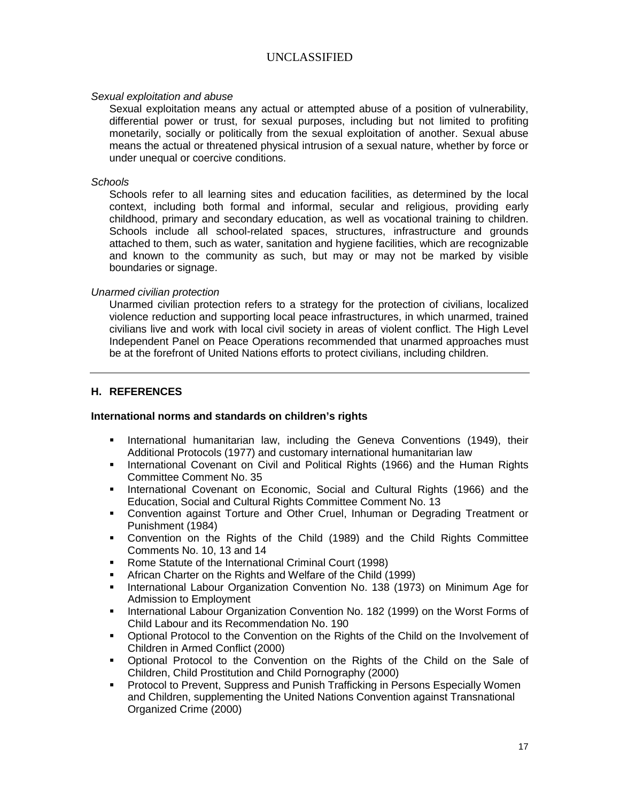#### *Sexual exploitation and abuse*

Sexual exploitation means any actual or attempted abuse of a position of vulnerability, differential power or trust, for sexual purposes, including but not limited to profiting monetarily, socially or politically from the sexual exploitation of another. Sexual abuse means the actual or threatened physical intrusion of a sexual nature, whether by force or under unequal or coercive conditions.

#### *Schools*

Schools refer to all learning sites and education facilities, as determined by the local context, including both formal and informal, secular and religious, providing early childhood, primary and secondary education, as well as vocational training to children. Schools include all school-related spaces, structures, infrastructure and grounds attached to them, such as water, sanitation and hygiene facilities, which are recognizable and known to the community as such, but may or may not be marked by visible boundaries or signage.

#### *Unarmed civilian protection*

Unarmed civilian protection refers to a strategy for the protection of civilians, localized violence reduction and supporting local peace infrastructures, in which unarmed, trained civilians live and work with local civil society in areas of violent conflict. The High Level Independent Panel on Peace Operations recommended that unarmed approaches must be at the forefront of United Nations efforts to protect civilians, including children.

#### **H. REFERENCES**

#### **International norms and standards on children's rights**

- **International humanitarian law, including the Geneva Conventions (1949), their** Additional Protocols (1977) and customary international humanitarian law
- **International Covenant on Civil and Political Rights (1966) and the Human Rights** Committee Comment No. 35
- **International Covenant on Economic, Social and Cultural Rights (1966) and the** Education, Social and Cultural Rights Committee Comment No. 13
- Convention against Torture and Other Cruel, Inhuman or Degrading Treatment or Punishment (1984)
- Convention on the Rights of the Child (1989) and the Child Rights Committee Comments No. 10, 13 and 14
- Rome Statute of the International Criminal Court (1998)
- African Charter on the Rights and Welfare of the Child (1999)
- **International Labour Organization Convention No. 138 (1973) on Minimum Age for** Admission to Employment
- **International Labour Organization Convention No. 182 (1999) on the Worst Forms of** Child Labour and its Recommendation No. 190
- **Optional Protocol to the Convention on the Rights of the Child on the Involvement of** Children in Armed Conflict (2000)
- Optional Protocol to the Convention on the Rights of the Child on the Sale of Children, Child Prostitution and Child Pornography (2000)
- **Protocol to Prevent, Suppress and Punish Trafficking in Persons Especially Women** and Children, supplementing the United Nations Convention against Transnational Organized Crime (2000)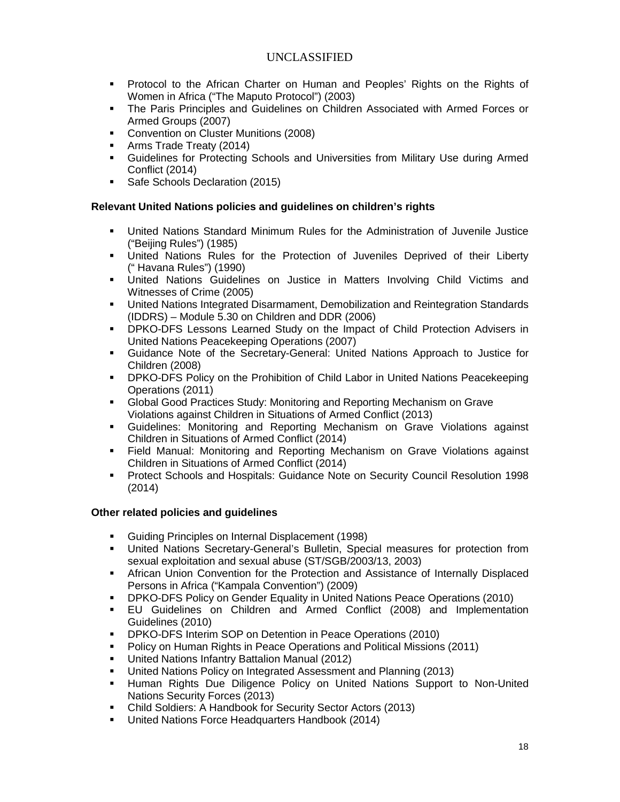- Protocol to the African Charter on Human and Peoples' Rights on the Rights of Women in Africa ("The Maputo Protocol") (2003)
- The Paris Principles and Guidelines on Children Associated with Armed Forces or Armed Groups (2007)
- **Convention on Cluster Munitions (2008)**
- **Arms Trade Treaty (2014)**
- Guidelines for Protecting Schools and Universities from Military Use during Armed Conflict (2014)
- Safe Schools Declaration (2015)

## **Relevant United Nations policies and guidelines on children's rights**

- United Nations Standard Minimum Rules for the Administration of Juvenile Justice ("Beijing Rules") (1985)
- United Nations Rules for the Protection of Juveniles Deprived of their Liberty (" Havana Rules") (1990)
- United Nations Guidelines on Justice in Matters Involving Child Victims and Witnesses of Crime (2005)
- United Nations Integrated Disarmament, Demobilization and Reintegration Standards (IDDRS) – Module 5.30 on Children and DDR (2006)
- DPKO-DFS Lessons Learned Study on the Impact of Child Protection Advisers in United Nations Peacekeeping Operations (2007)
- Guidance Note of the Secretary-General: United Nations Approach to Justice for Children (2008)
- DPKO-DFS Policy on the Prohibition of Child Labor in United Nations Peacekeeping Operations (2011)
- Global Good Practices Study: Monitoring and Reporting Mechanism on Grave Violations against Children in Situations of Armed Conflict (2013)
- Guidelines: Monitoring and Reporting Mechanism on Grave Violations against Children in Situations of Armed Conflict (2014)
- Field Manual: Monitoring and Reporting Mechanism on Grave Violations against Children in Situations of Armed Conflict (2014)
- **Protect Schools and Hospitals: Guidance Note on Security Council Resolution 1998** (2014)

## **Other related policies and guidelines**

- Guiding Principles on Internal Displacement (1998)
- United Nations Secretary-General's Bulletin, Special measures for protection from sexual exploitation and sexual abuse (ST/SGB/2003/13, 2003)
- **African Union Convention for the Protection and Assistance of Internally Displaced** Persons in Africa ("Kampala Convention") (2009)
- DPKO-DFS Policy on Gender Equality in United Nations Peace Operations (2010)
- EU Guidelines on Children and Armed Conflict (2008) and Implementation Guidelines (2010)
- **DPKO-DFS Interim SOP on Detention in Peace Operations (2010)**
- **Policy on Human Rights in Peace Operations and Political Missions (2011)**
- United Nations Infantry Battalion Manual (2012)
- United Nations Policy on Integrated Assessment and Planning (2013)
- Human Rights Due Diligence Policy on United Nations Support to Non-United Nations Security Forces (2013)
- Child Soldiers: A Handbook for Security Sector Actors (2013)
- **United Nations Force Headquarters Handbook (2014)**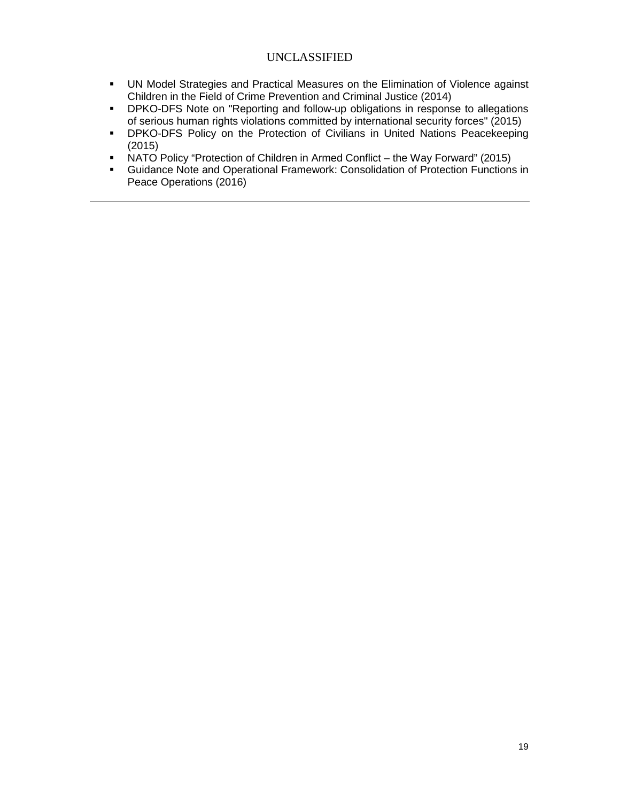- UN Model Strategies and Practical Measures on the Elimination of Violence against Children in the Field of Crime Prevention and Criminal Justice (2014)
- **DPKO-DFS Note on "Reporting and follow-up obligations in response to allegations** of serious human rights violations committed by international security forces" (2015)
- **DPKO-DFS Policy on the Protection of Civilians in United Nations Peacekeeping** (2015)
- NATO Policy "Protection of Children in Armed Conflict the Way Forward" (2015)
- Guidance Note and Operational Framework: Consolidation of Protection Functions in Peace Operations (2016)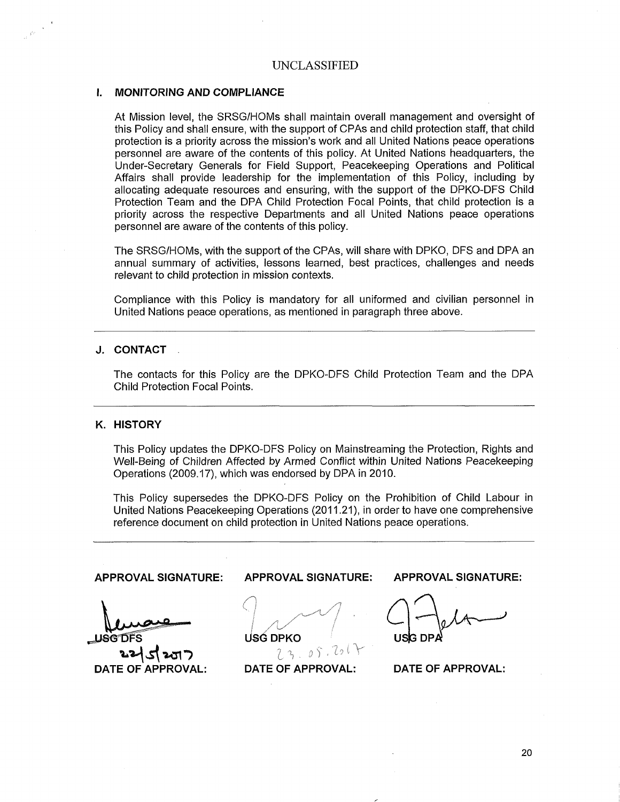#### I. MONITORING AND COMPLIANCE

At Mission level, the SRSG/HOMs shall maintain overall management and oversight of this Policy and shall ensure, with the support of CPAs and child protection staff, that child protection is a priority across the mission's work and all United Nations peace operations personnel are aware of the contents of this policy. At United Nations headquarters, the Under-Secretary Generals for Field Support, Peacekeeping Operations and Political Affairs shall provide leadership for the implementation of this Policy, including by allocating adequate resources and ensuring, with the support of the DPKO-DFS Child Protection Team and the DPA Child Protection Focal Points, that child protection is a priority across the respective Departments and all United Nations peace operations personnel are aware of the contents of this policy.

The SRSG/HOMs, with the support of the CPAs, will share with DPKO, DFS and DPA an annual summary of activities, lessons learned, best practices, challenges and needs relevant to child protection in mission contexts.

Compliance with this Policy is mandatory for all uniformed and civilian personnel in United Nations peace operations, as mentioned in paragraph three above.

#### J. CONTACT

 $\frac{1}{\sqrt{2}}\sum_{i=1}^{N}\frac{1}{i} \sum_{j=1}^{N} \frac{1}{j} \sum_{j=1}^{N} \frac{1}{j} \sum_{j=1}^{N} \frac{1}{j} \sum_{j=1}^{N} \frac{1}{j} \sum_{j=1}^{N} \frac{1}{j} \sum_{j=1}^{N} \frac{1}{j} \sum_{j=1}^{N} \frac{1}{j} \sum_{j=1}^{N} \frac{1}{j} \sum_{j=1}^{N} \frac{1}{j} \sum_{j=1}^{N} \frac{1}{j} \sum_{j=1}^{N} \frac{1}{j} \sum_{j=1}$ 

The contacts for this Policy are the DPKO-DFS Child Protection Team and the DPA Child Protection Focal Points.

#### K. HISTORY

This Policy updates the DPKO-DFS Policy on Mainstreaming the Protection, Rights and Well-Being of Children Affected by Armed Conflict within United Nations Peacekeeping Operations (2009.17), which was endorsed by DPA in 2010.

This Policy supersedes the DPKO-DFS Policy on the Prohibition of Child Labour in United Nations Peacekeeping Operations (2011.21), in order to have one comprehensive reference document on child protection in United Nations peace operations.

APPROVAL SIGNATURE: APPROVAL SIGNATURE: APPROVAL SIGNATURE: USG DPKO **LISG DF** USG DP.  $23.05.201$ ワワー DATE OF APPROVAL: DATE OF APPROVAL: DATE OF APPROVAL: